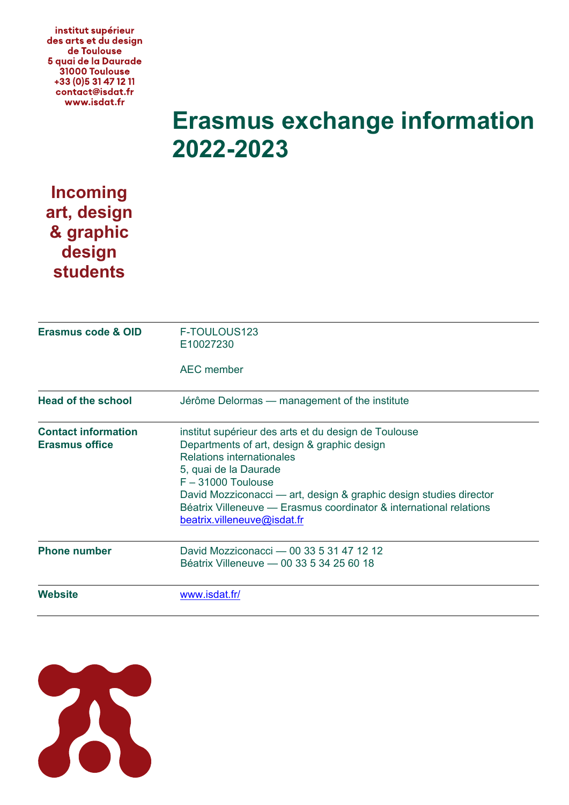institut supérieur des arts et du design de Toulouse 5 quai de la Daurade 31000 Toulouse +33 (0) 5 31 47 12 11 contact@isdat.fr www.isdat.fr

## **Erasmus exchange information 2022-2023**

## **Incoming art, design & graphic design students**

| Erasmus code & OID                                  | F-TOULOUS123<br>E10027230<br><b>AEC</b> member                                                                                                                                                                                                                                                                                                               |
|-----------------------------------------------------|--------------------------------------------------------------------------------------------------------------------------------------------------------------------------------------------------------------------------------------------------------------------------------------------------------------------------------------------------------------|
| <b>Head of the school</b>                           | Jérôme Delormas — management of the institute                                                                                                                                                                                                                                                                                                                |
| <b>Contact information</b><br><b>Erasmus office</b> | institut supérieur des arts et du design de Toulouse<br>Departments of art, design & graphic design<br>Relations internationales<br>5, quai de la Daurade<br>$F - 31000$ Toulouse<br>David Mozziconacci — art, design & graphic design studies director<br>Béatrix Villeneuve — Erasmus coordinator & international relations<br>beatrix.villeneuve@isdat.fr |
| <b>Phone number</b>                                 | David Mozziconacci - 00 33 5 31 47 12 12<br>Béatrix Villeneuve - 00 33 5 34 25 60 18                                                                                                                                                                                                                                                                         |
| <b>Website</b>                                      | www.isdat.fr/                                                                                                                                                                                                                                                                                                                                                |

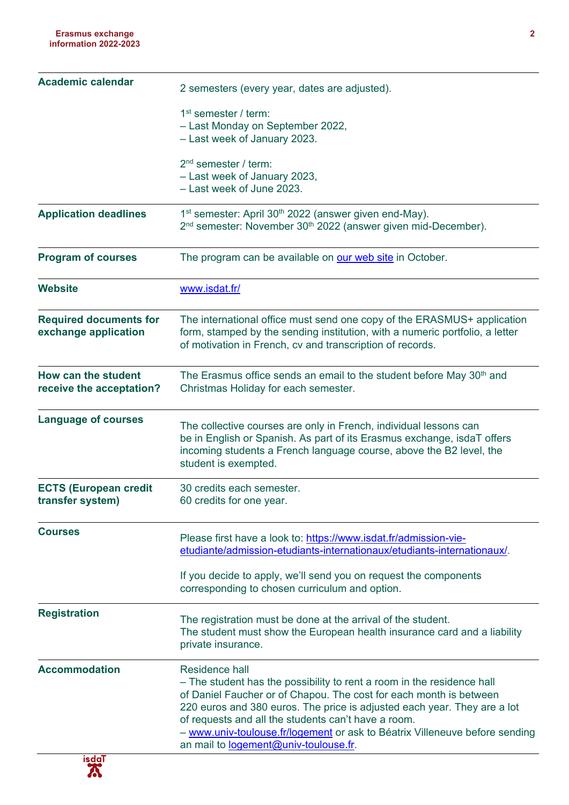| <b>Academic calendar</b>                              | 2 semesters (every year, dates are adjusted).                                                                                                                                                                                                                                                                                                                                                                                    |
|-------------------------------------------------------|----------------------------------------------------------------------------------------------------------------------------------------------------------------------------------------------------------------------------------------------------------------------------------------------------------------------------------------------------------------------------------------------------------------------------------|
|                                                       | 1 <sup>st</sup> semester / term:<br>- Last Monday on September 2022,<br>- Last week of January 2023.                                                                                                                                                                                                                                                                                                                             |
|                                                       | $2nd$ semester / term:<br>- Last week of January 2023,<br>- Last week of June 2023.                                                                                                                                                                                                                                                                                                                                              |
| <b>Application deadlines</b>                          | 1 <sup>st</sup> semester: April 30 <sup>th</sup> 2022 (answer given end-May).<br>2 <sup>nd</sup> semester: November 30 <sup>th</sup> 2022 (answer given mid-December).                                                                                                                                                                                                                                                           |
| <b>Program of courses</b>                             | The program can be available on our web site in October.                                                                                                                                                                                                                                                                                                                                                                         |
| <b>Website</b>                                        | www.isdat.fr/                                                                                                                                                                                                                                                                                                                                                                                                                    |
| <b>Required documents for</b><br>exchange application | The international office must send one copy of the ERASMUS+ application<br>form, stamped by the sending institution, with a numeric portfolio, a letter<br>of motivation in French, cv and transcription of records.                                                                                                                                                                                                             |
| How can the student<br>receive the acceptation?       | The Erasmus office sends an email to the student before May 30 <sup>th</sup> and<br>Christmas Holiday for each semester.                                                                                                                                                                                                                                                                                                         |
| <b>Language of courses</b>                            | The collective courses are only in French, individual lessons can<br>be in English or Spanish. As part of its Erasmus exchange, isdaT offers<br>incoming students a French language course, above the B2 level, the<br>student is exempted.                                                                                                                                                                                      |
| <b>ECTS (European credit</b><br>transfer system)      | 30 credits each semester.<br>60 credits for one year.                                                                                                                                                                                                                                                                                                                                                                            |
| <b>Courses</b>                                        | Please first have a look to: https://www.isdat.fr/admission-vie-<br>etudiante/admission-etudiants-internationaux/etudiants-internationaux/.                                                                                                                                                                                                                                                                                      |
|                                                       | If you decide to apply, we'll send you on request the components<br>corresponding to chosen curriculum and option.                                                                                                                                                                                                                                                                                                               |
| <b>Registration</b>                                   | The registration must be done at the arrival of the student.<br>The student must show the European health insurance card and a liability<br>private insurance.                                                                                                                                                                                                                                                                   |
| <b>Accommodation</b>                                  | <b>Residence hall</b><br>- The student has the possibility to rent a room in the residence hall<br>of Daniel Faucher or of Chapou. The cost for each month is between<br>220 euros and 380 euros. The price is adjusted each year. They are a lot<br>of requests and all the students can't have a room.<br>- www.univ-toulouse.fr/logement or ask to Béatrix Villeneuve before sending<br>an mail to logement@univ-toulouse.fr. |